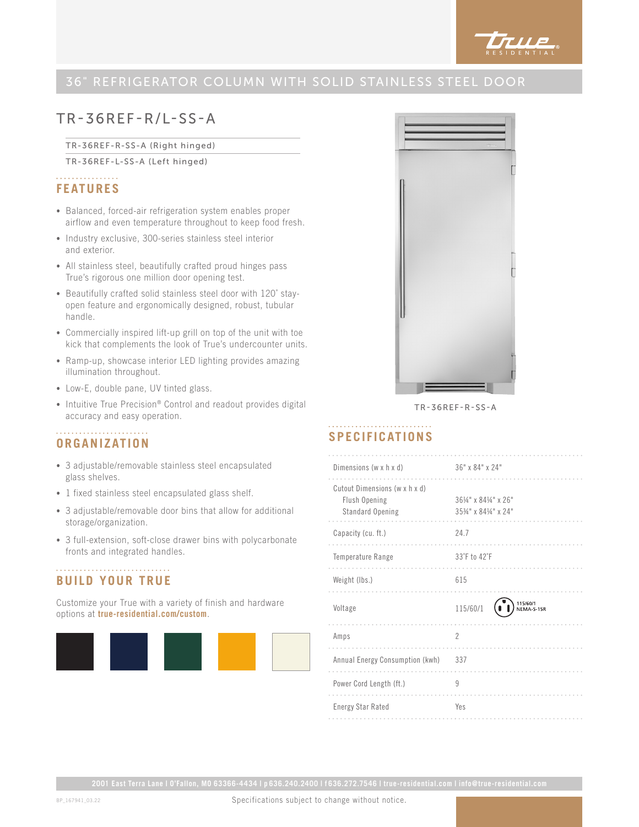

# TR-36REF-R/L-SS-A

TR-36REF-R-SS-A (Right hinged)

TR-36REF-L-SS-A (Left hinged)

## . . . . . . . . . . . . . . . . **FEATURES**

- Balanced, forced-air refrigeration system enables proper airflow and even temperature throughout to keep food fresh.
- Industry exclusive, 300-series stainless steel interior and exterior.
- All stainless steel, beautifully crafted proud hinges pass True's rigorous one million door opening test.
- Beautifully crafted solid stainless steel door with 120˚ stayopen feature and ergonomically designed, robust, tubular handle.
- Commercially inspired lift-up grill on top of the unit with toe kick that complements the look of True's undercounter units.
- Ramp-up, showcase interior LED lighting provides amazing illumination throughout.
- Low-E, double pane, UV tinted glass.
- Intuitive True Precision® Control and readout provides digital accuracy and easy operation.

#### **ORGANIZATION**

- 3 adjustable/removable stainless steel encapsulated glass shelves.
- 1 fixed stainless steel encapsulated glass shelf.
- 3 adjustable/removable door bins that allow for additional storage/organization.
- 3 full-extension, soft-close drawer bins with polycarbonate fronts and integrated handles.

### **BUILD YOUR TRUE**

Customize your True with a variety of finish and hardware options at **true-residential.com/custom**.





TR-36REF-R-SS-A

### **SPECIFICATIONS**

| Dimensions (w x h x d)                                             | 36" x 84" x 24"                              |
|--------------------------------------------------------------------|----------------------------------------------|
| Cutout Dimensions (w x h x d)<br>Flush Opening<br>Standard Opening | 361/4" x 841/4" x 26"<br>3534" x 8414" x 24" |
| Capacity (cu. ft.)                                                 | 24.7                                         |
| Temperature Range                                                  | 33°F to 42°F                                 |
| Weight (lbs.)                                                      | 615                                          |
| Voltage                                                            | 115/60/1<br>NEMA-5-15R<br>115/60/1           |
| Amps                                                               | $\overline{2}$                               |
| Annual Energy Consumption (kwh)                                    | 337                                          |
| Power Cord Length (ft.)                                            | 9                                            |
| <b>Energy Star Rated</b>                                           | Yes                                          |

Specifications subject to change without notice.